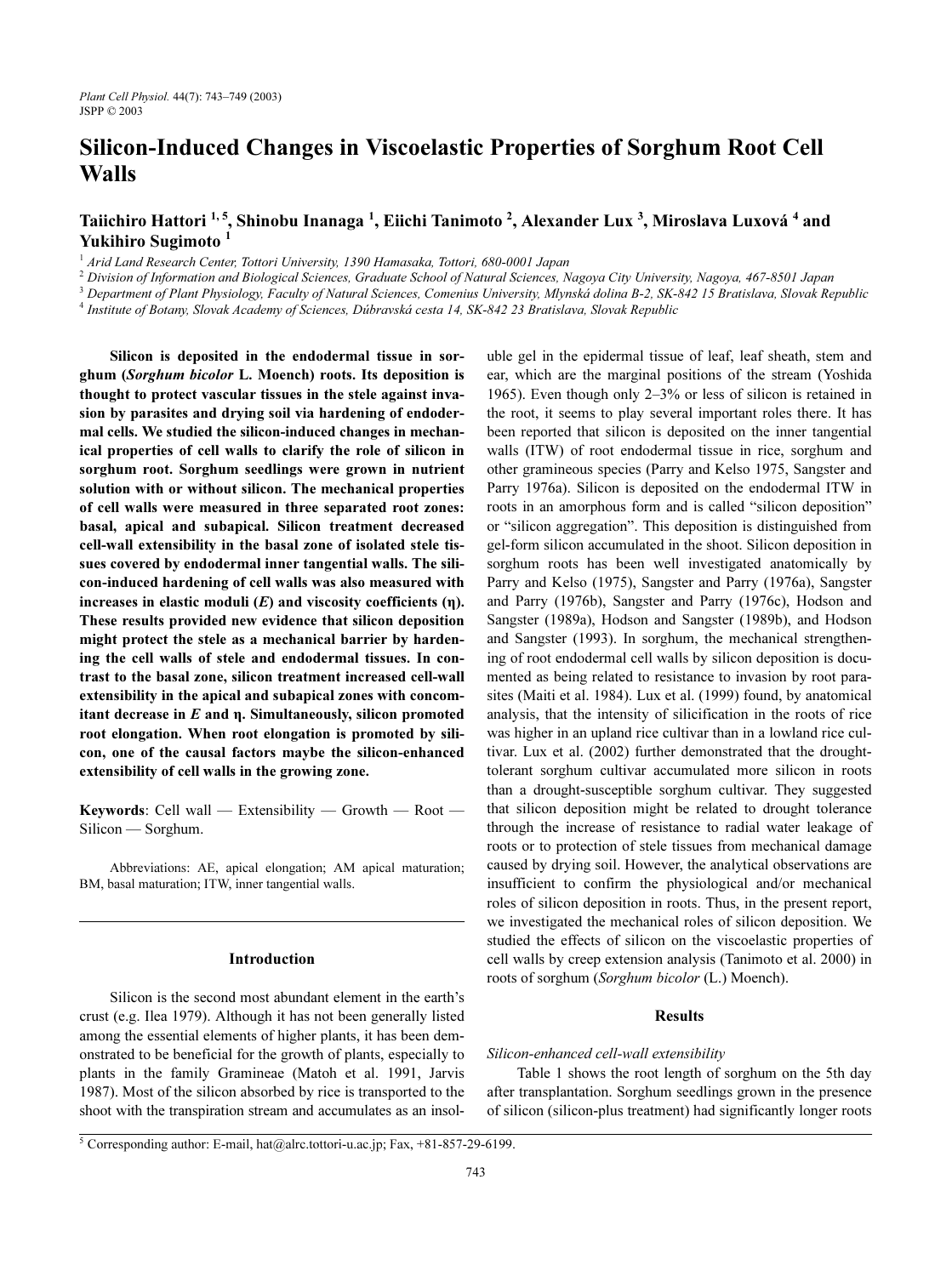# Silicon-Induced Changes in Viscoelastic Properties of Sorghum Root Cell Walls

# Taiichiro Hattori <sup>[1, 5](#page-0-0)</sup>,Shinobu Inanaga <sup>1</sup>, Eiichi Tanimoto <sup>2</sup>, Alexander Lu[x](#page-0-0) <sup>3</sup>, Miroslava Luxov[á](#page-0-0) <sup>4</sup> and YukihiroSugimoto<sup>1</sup>

<span id="page-0-0"></span><sup>1</sup> Arid Land Research Center, Tottori University, 1390 Hamasaka, Tottori, 680-0001 Japan

<sup>2</sup> Division of Information and Biological Sciences, Graduate School of Natural Sciences, Nagoya City University, Nagoya, 467-8501 Japan 3.3 December 2013 and 3 December 2020 12:00 13:00 13:00 13:00 13:00 13:00 13:00 13:00

<sup>3</sup> Department of Plant Physiology, Faculty of Natural Sciences, Comenius University, Mlynská dolina B-2, SK-842 15 Bratislava, Slovak Republic

Institute of Botany, Slovak Academy of Sciences, Dúbravská cesta 14, SK-842 23 Bratislava, Slovak Republic

Silicon is deposited in the endodermal tissue in sorghum (Sorghum bicolor L. Moench) roots. Its deposition is thought to protect vascular tissues in the stele against invasion by parasites and drying soil via hardening of endodermal cells. We studied the silicon-induced changes in mechanical properties of cell walls to clarify the role of silicon in sorghum root. Sorghum seedlings were grown in nutrient solution with or without silicon. The mechanical properties of cell walls were measured in three separated root zones: basal, apical and subapical. Silicon treatment decreased cell-wall extensibility in the basal zone of isolated stele tissues covered by endodermal inner tangential walls. The silicon-induced hardening of cell walls was also measured with increases in elastic moduli  $(E)$  and viscosity coefficients  $(\eta)$ . These results provided new evidence that silicon deposition might protect the stele as a mechanical barrier by hardening the cell walls of stele and endodermal tissues. In contrast to the basal zone, silicon treatment increased cell-wall extensibility in the apical and subapical zones with concomitant decrease in  $E$  and  $\eta$ . Simultaneously, silicon promoted root elongation. When root elongation is promoted by silicon, one of the causal factors maybe the silicon-enhanced extensibility of cell walls in the growing zone.

Keywords: Cell wall — Extensibility — Growth — Root — Silicon — Sorghum.

Abbreviations: AE, apical elongation; AM apical maturation; BM, basal maturation; ITW, inner tangential walls.

## Introduction

Silicon is the second most abundant element in the earth's crust (e.g. [Ilea 1979\)](#page-6-0). Although it has not been generally listed among the essential elements of higher plants, it has been demonstrated to be beneficial for the growth of plants, especially to plants in the family Gramineae ([Matoh et al. 1991](#page-6-1), [Jarvis](#page-6-2) [1987\)](#page-6-2). Most of the silicon absorbed by rice is transported to the shoot with the transpiration stream and accumulates as an insol-

uble gel in the epidermal tissue of leaf, leaf sheath, stem and ear, which are the marginal positions of the stream [\(Yoshida](#page-6-3) [1965\)](#page-6-3). Even though only 2–3% or less of silicon is retained in the root, it seems to play several important roles there. It has been reported that silicon is deposited on the inner tangential walls (ITW) of root endodermal tissue in rice, sorghum and other gramineous species [\(Parry and Kelso 1975](#page-6-4), [Sangster and](#page-6-5) [Parry 1976a](#page-6-5)). Silicon is deposited on the endodermal ITW in roots in an amorphous form and is called "silicon deposition" or "silicon aggregation". This deposition is distinguished from gel-form silicon accumulated in the shoot. Silicon deposition in sorghum roots has been well investigated anatomically by [Parry and Kelso \(1975\),](#page-6-4) [Sangster and Parry \(1976a\),](#page-6-5) [Sangster](#page-6-6) [and Parry \(1976b\),](#page-6-6) [Sangster and Parry \(1976c\)](#page-6-7), [Hodson and](#page-5-0) [Sangster \(1989a\),](#page-5-0) [Hodson and Sangster \(1989b\),](#page-5-1) and [Hodson](#page-6-8) [and Sangster \(1993\)](#page-6-8). In sorghum, the mechanical strengthening of root endodermal cell walls by silicon deposition is documented as being related to resistance to invasion by root parasites ([Maiti et al. 1984\)](#page-6-9). [Lux et al. \(1999\)](#page-6-10) found, by anatomical analysis, that the intensity of silicification in the roots of rice was higher in an upland rice cultivar than in a lowland rice cultivar. [Lux et al. \(2002\)](#page-6-11) further demonstrated that the droughttolerant sorghum cultivar accumulated more silicon in roots than a drought-susceptible sorghum cultivar. They suggested that silicon deposition might be related to drought tolerance through the increase of resistance to radial water leakage of roots or to protection of stele tissues from mechanical damage caused by drying soil. However, the analytical observations are insufficient to confirm the physiological and/or mechanical roles of silicon deposition in roots. Thus, in the present report, we investigated the mechanical roles of silicon deposition. We studied the effects of silicon on the viscoelastic properties of cell walls by creep extension analysis ([Tanimoto et al. 2000\)](#page-6-12) in roots of sorghum (Sorghum bicolor (L.) Moench).

#### Results

#### Silicon-enhanced cell-wall extensibility

Table 1 shows the root length of sorghum on the 5th day after transplantation. Sorghum seedlings grown in the presence of silicon (silicon-plus treatment) had significantly longer roots

<sup>5</sup> Corresponding author: E-mail, hat@alrc.tottori-u.ac.jp; Fax, +81-857-29-6199.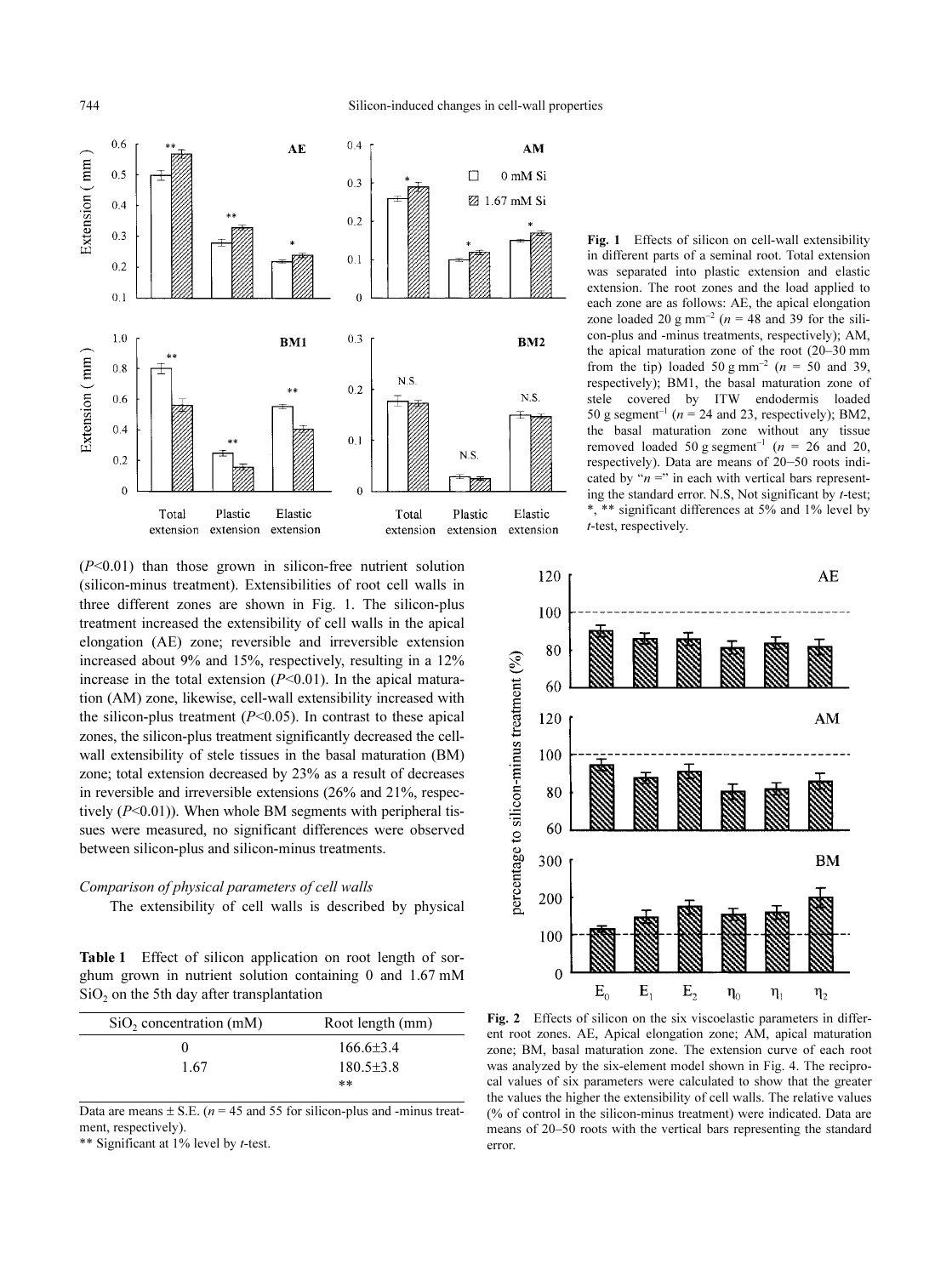744 Silicon-induced changes in cell-wall properties



 $(P<0.01)$  than those grown in silicon-free nutrient solution (silicon-minus treatment). Extensibilities of root cell walls in three different zones are shown in Fig. [1.](#page-6-13) The silicon-plus treatment increased the extensibility of cell walls in the apical elongation (AE) zone; reversible and irreversible extension increased about 9% and 15%, respectively, resulting in a 12% increase in the total extension  $(P<0.01)$ . In the apical maturation (AM) zone, likewise, cell-wall extensibility increased with the silicon-plus treatment  $(P<0.05)$ . In contrast to these apical zones, the silicon-plus treatment significantly decreased the cellwall extensibility of stele tissues in the basal maturation (BM) zone; total extension decreased by 23% as a result of decreases in reversible and irreversible extensions (26% and 21%, respectively  $(P<0.01)$ ). When whole BM segments with peripheral tissues were measured, no significant differences were observed between silicon-plus and silicon-minus treatments.

#### Comparison of physical parameters of cell walls

The extensibility of cell walls is described by physical

Table 1 Effect of silicon application on root length of sorghum grown in nutrient solution containing 0 and 1.67 mM  $SiO<sub>2</sub>$  on the 5th day after transplantation

| SiO <sub>2</sub> concentration (mM) | Root length (mm) |  |  |
|-------------------------------------|------------------|--|--|
| 0                                   | $166.6 \pm 3.4$  |  |  |
| 1.67                                | $180.5 \pm 3.8$  |  |  |
|                                     | **               |  |  |

Data are means  $\pm$  S.E. (*n* = 45 and 55 for silicon-plus and -minus treatment, respectively).

\*\* Significant at 1% level by t-test.

Fig. 1 Effects of silicon on cell-wall extensibility in different parts of a seminal root. Total extension was separated into plastic extension and elastic extension. The root zones and the load applied to each zone are as follows: AE, the apical elongation zone loaded 20 g mm<sup>-2</sup> ( $n = 48$  and 39 for the silicon-plus and -minus treatments, respectively); AM, the apical maturation zone of the root (20–30 mm from the tip) loaded 50 g mm<sup>-2</sup> ( $n = 50$  and 39, respectively); BM1, the basal maturation zone of stele covered by ITW endodermis loaded 50 g segment<sup>-1</sup> ( $n = 24$  and 23, respectively); BM2, the basal maturation zone without any tissue removed loaded 50 g segment<sup>-1</sup> ( $n = 26$  and 20, respectively). Data are means of 20–50 roots indicated by " $n =$ " in each with vertical bars representing the standard error. N.S, Not significant by t-test; \*, \*\* significant differences at 5% and 1% level by t-test, respectively.



Fig. 2 Effects of silicon on the six viscoelastic parameters in different root zones. AE, Apical elongation zone; AM, apical maturation zone; BM, basal maturation zone. The extension curve of each root was analyzed by the six-element model shown in Fig. [4](#page-6-13). The reciprocal values of six parameters were calculated to show that the greater the values the higher the extensibility of cell walls. The relative values (% of control in the silicon-minus treatment) were indicated. Data are means of 20–50 roots with the vertical bars representing the standard error.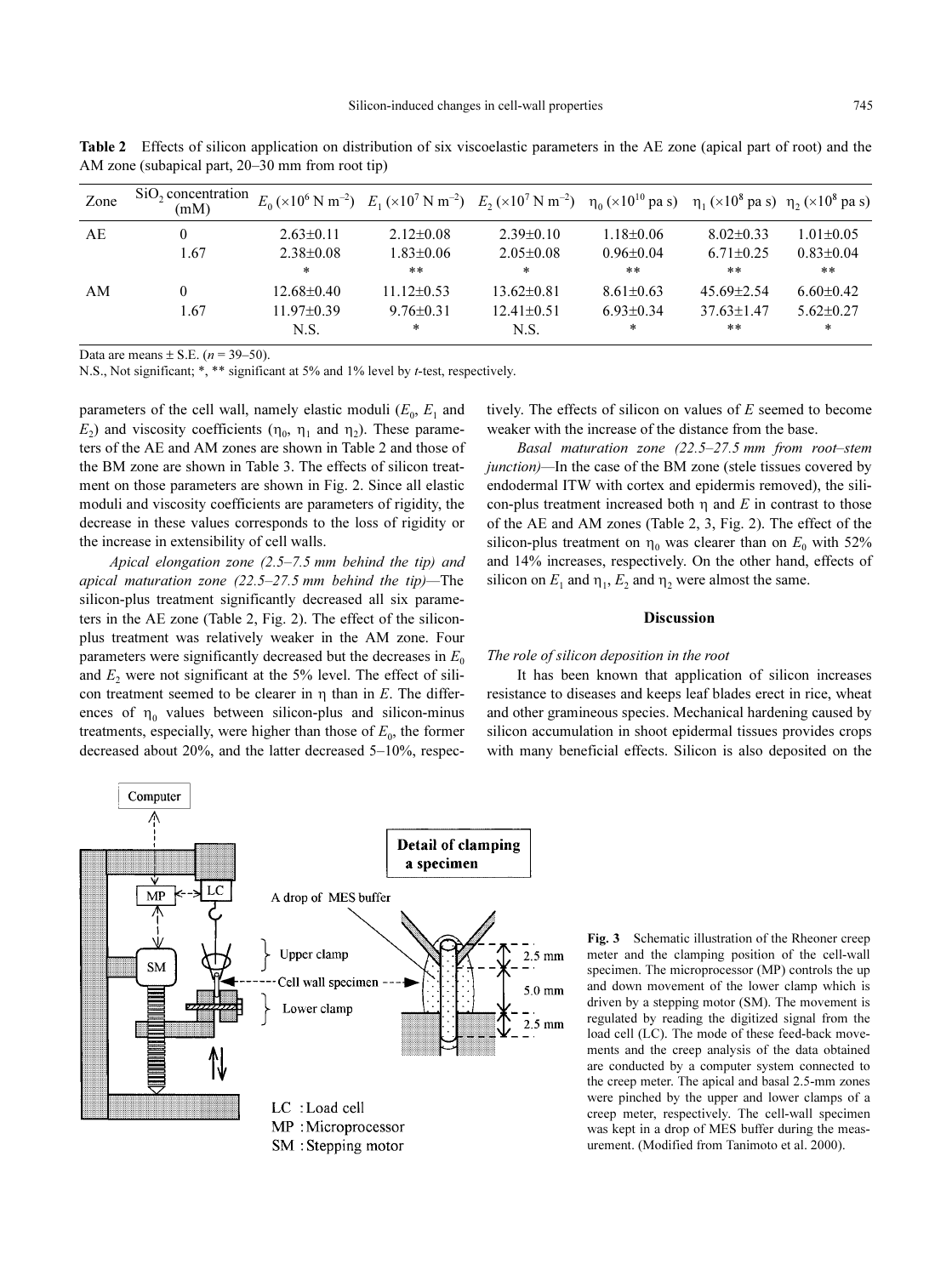| Zone | SiO <sub>2</sub> concentration<br>(mM) |                  | $E_0$ (×10 <sup>6</sup> N m <sup>-2</sup> ) $E_1$ (×10 <sup>7</sup> N m <sup>-2</sup> ) $E_2$ (×10 <sup>7</sup> N m <sup>-2</sup> ) $\eta_0$ (×10 <sup>10</sup> pas) $\eta_1$ (×10 <sup>8</sup> pas) $\eta_2$ (×10 <sup>8</sup> pas) |                  |                 |                  |                 |
|------|----------------------------------------|------------------|--------------------------------------------------------------------------------------------------------------------------------------------------------------------------------------------------------------------------------------|------------------|-----------------|------------------|-----------------|
| AE   | 0                                      | $2.63 \pm 0.11$  | $2.12\pm0.08$                                                                                                                                                                                                                        | $2.39\pm0.10$    | $1.18 \pm 0.06$ | $8.02\pm0.33$    | $1.01 \pm 0.05$ |
|      | 1.67                                   | $2.38 \pm 0.08$  | $1.83 \pm 0.06$                                                                                                                                                                                                                      | $2.05 \pm 0.08$  | $0.96 \pm 0.04$ | $6.71 \pm 0.25$  | $0.83 \pm 0.04$ |
|      |                                        | $\ast$           | $**$                                                                                                                                                                                                                                 | *                | $***$           | $***$            | **              |
| AM   | $^{(1)}$                               | $12.68 \pm 0.40$ | $11.12\pm0.53$                                                                                                                                                                                                                       | $13.62 \pm 0.81$ | $8.61 \pm 0.63$ | $45.69 \pm 2.54$ | $6.60\pm0.42$   |
|      | 1.67                                   | $11.97 \pm 0.39$ | $9.76 \pm 0.31$                                                                                                                                                                                                                      | $12.41 \pm 0.51$ | $6.93 \pm 0.34$ | $37.63 \pm 1.47$ | $5.62 \pm 0.27$ |
|      |                                        | N.S.             | *                                                                                                                                                                                                                                    | N.S.             | *               | **               | *               |

Data are means  $\pm$  S.E. (*n* = 39–50).

AM zone (subapical part, 20–30 mm from root tip)

N.S., Not significant; \*, \*\* significant at 5% and 1% level by t-test, respectively.

parameters of the cell wall, namely elastic moduli  $(E_0, E_1$  and  $E_2$ ) and viscosity coefficients ( $\eta_0$ ,  $\eta_1$  and  $\eta_2$ ). These parameters of the AE and AM zones are shown in Table 2 and those of the BM zone are shown in Table 3. The effects of silicon treatment on those parameters are shown in Fig. [2](#page-6-13). Since all elastic moduli and viscosity coefficients are parameters of rigidity, the decrease in these values corresponds to the loss of rigidity or the increase in extensibility of cell walls.

Apical elongation zone (2.5–7.5 mm behind the tip) and apical maturation zone  $(22.5-27.5 \text{ mm}$  behind the tip)-The silicon-plus treatment significantly decreased all six parameters in the AE zone (Table 2, Fig. [2\)](#page-6-13). The effect of the siliconplus treatment was relatively weaker in the AM zone. Four parameters were significantly decreased but the decreases in  $E_0$ and  $E<sub>2</sub>$  were not significant at the 5% level. The effect of silicon treatment seemed to be clearer in  $\eta$  than in E. The differences of  $\eta_0$  values between silicon-plus and silicon-minus treatments, especially, were higher than those of  $E_0$ , the former decreased about 20%, and the latter decreased 5–10%, respectively. The effects of silicon on values of E seemed to become weaker with the increase of the distance from the base.

Basal maturation zone (22.5–27.5 mm from root–stem junction)—In the case of the BM zone (stele tissues covered by endodermal ITW with cortex and epidermis removed), the silicon-plus treatment increased both  $\eta$  and E in contrast to those of the AE and AM zones (Table 2, 3, Fig. [2](#page-6-13)). The effect of the silicon-plus treatment on  $\eta_0$  was clearer than on  $E_0$  with 52% and 14% increases, respectively. On the other hand, effects of silicon on  $E_1$  and  $\eta_1$ ,  $E_2$  and  $\eta_2$  were almost the same.

#### **Discussion**

### The role of silicon deposition in the root

It has been known that application of silicon increases resistance to diseases and keeps leaf blades erect in rice, wheat and other gramineous species. Mechanical hardening caused by silicon accumulation in shoot epidermal tissues provides crops with many beneficial effects. Silicon is also deposited on the



Fig. 3 Schematic illustration of the Rheoner creep meter and the clamping position of the cell-wall specimen. The microprocessor (MP) controls the up and down movement of the lower clamp which is driven by a stepping motor (SM). The movement is regulated by reading the digitized signal from the load cell (LC). The mode of these feed-back movements and the creep analysis of the data obtained are conducted by a computer system connected to the creep meter. The apical and basal 2.5-mm zones were pinched by the upper and lower clamps of a creep meter, respectively. The cell-wall specimen was kept in a drop of MES buffer during the measurement. (Modified from [Tanimoto et al. 2000\)](#page-6-12).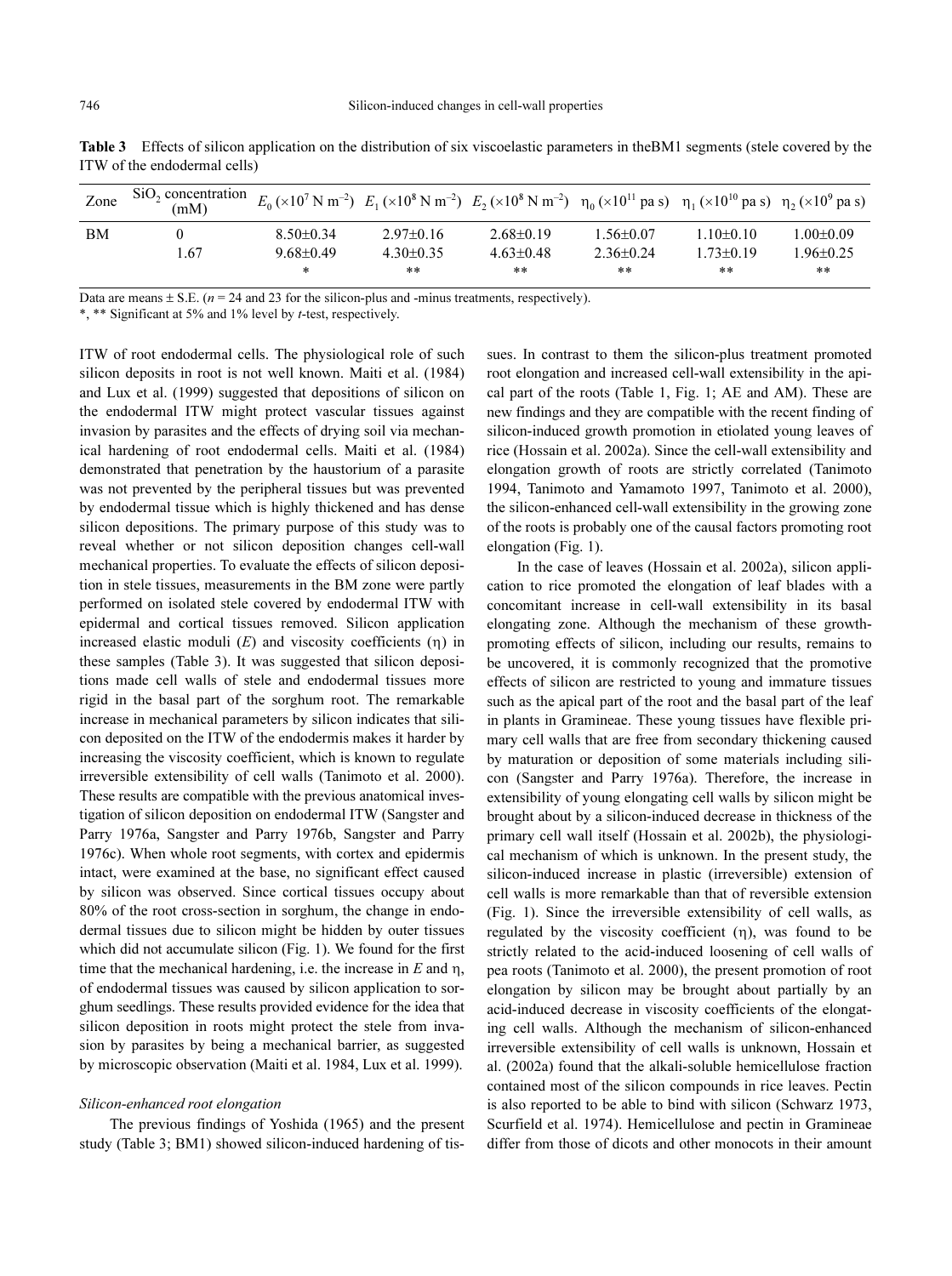| Zone | SiO <sub>2</sub> concentration<br>(mM) |                 |               | $E_0$ (×10 <sup>7</sup> N m <sup>-2</sup> ) $E_1$ (×10 <sup>8</sup> N m <sup>-2</sup> ) $E_2$ (×10 <sup>8</sup> N m <sup>-2</sup> ) $\eta_0$ (×10 <sup>11</sup> pa s) $\eta_1$ (×10 <sup>10</sup> pa s) $\eta_2$ (×10 <sup>9</sup> pa s) |                 |                 |                 |
|------|----------------------------------------|-----------------|---------------|------------------------------------------------------------------------------------------------------------------------------------------------------------------------------------------------------------------------------------------|-----------------|-----------------|-----------------|
| ΒM   |                                        | $8.50\pm0.34$   | $2.97\pm0.16$ | $2.68\pm0.19$                                                                                                                                                                                                                            | $1.56 \pm 0.07$ | $1.10 + 0.10$   | $1.00 \pm 0.09$ |
|      | 1.67                                   | $9.68 \pm 0.49$ | $4.30\pm0.35$ | $4.63 \pm 0.48$                                                                                                                                                                                                                          | $2.36 \pm 0.24$ | $1.73 \pm 0.19$ | $.96 \pm 0.25$  |
|      |                                        | *               | **            | **                                                                                                                                                                                                                                       | **              | **              | **              |

Table 3 Effects of silicon application on the distribution of six viscoelastic parameters in theBM1 segments (stele covered by the ITW of the endodermal cells)

Data are means  $\pm$  S.E. ( $n = 24$  and 23 for the silicon-plus and -minus treatments, respectively).

\*, \*\* Significant at 5% and 1% level by t-test, respectively.

ITW of root endodermal cells. The physiological role of such silicon deposits in root is not well known. [Maiti et al. \(1984\)](#page-6-9) and [Lux et al. \(1999\)](#page-6-10) suggested that depositions of silicon on the endodermal ITW might protect vascular tissues against invasion by parasites and the effects of drying soil via mechanical hardening of root endodermal cells. [Maiti et al. \(1984\)](#page-6-9) demonstrated that penetration by the haustorium of a parasite was not prevented by the peripheral tissues but was prevented by endodermal tissue which is highly thickened and has dense silicon depositions. The primary purpose of this study was to reveal whether or not silicon deposition changes cell-wall mechanical properties. To evaluate the effects of silicon deposition in stele tissues, measurements in the BM zone were partly performed on isolated stele covered by endodermal ITW with epidermal and cortical tissues removed. Silicon application increased elastic moduli  $(E)$  and viscosity coefficients  $(\eta)$  in these samples (Table 3). It was suggested that silicon depositions made cell walls of stele and endodermal tissues more rigid in the basal part of the sorghum root. The remarkable increase in mechanical parameters by silicon indicates that silicon deposited on the ITW of the endodermis makes it harder by increasing the viscosity coefficient, which is known to regulate irreversible extensibility of cell walls ([Tanimoto et al. 2000\)](#page-6-12). These results are compatible with the previous anatomical investigation of silicon deposition on endodermal ITW [\(Sangster and](#page-6-5) [Parry 1976a](#page-6-5), [Sangster and Parry 1976b](#page-6-6), [Sangster and Parry](#page-6-7) [1976c](#page-6-7)). When whole root segments, with cortex and epidermis intact, were examined at the base, no significant effect caused by silicon was observed. Since cortical tissues occupy about 80% of the root cross-section in sorghum, the change in endodermal tissues due to silicon might be hidden by outer tissues which did not accumulate silicon (Fig. [1](#page-6-13)). We found for the first time that the mechanical hardening, i.e. the increase in  $E$  and  $\eta$ , of endodermal tissues was caused by silicon application to sorghum seedlings. These results provided evidence for the idea that silicon deposition in roots might protect the stele from invasion by parasites by being a mechanical barrier, as suggested by microscopic observation [\(Maiti et al. 1984](#page-6-9), [Lux et al. 1999](#page-6-10)).

#### Silicon-enhanced root elongation

The previous findings of [Yoshida \(1965\)](#page-6-3) and the present study (Table 3; BM1) showed silicon-induced hardening of tissues. In contrast to them the silicon-plus treatment promoted root elongation and increased cell-wall extensibility in the apical part of the roots (Table 1, Fig. [1;](#page-6-13) AE and AM). These are new findings and they are compatible with the recent finding of silicon-induced growth promotion in etiolated young leaves of rice ([Hossain et al. 2002a](#page-6-19)). Since the cell-wall extensibility and elongation growth of roots are strictly correlated ([Tanimoto](#page-6-14) [1994,](#page-6-14) [Tanimoto and Yamamoto 1997](#page-6-15), [Tanimoto et al. 2000](#page-6-12)), the silicon-enhanced cell-wall extensibility in the growing zone of the roots is probably one of the causal factors promoting root elongation (Fig. [1\)](#page-6-13).

In the case of leaves [\(Hossain et al. 2002a](#page-6-19)), silicon application to rice promoted the elongation of leaf blades with a concomitant increase in cell-wall extensibility in its basal elongating zone. Although the mechanism of these growthpromoting effects of silicon, including our results, remains to be uncovered, it is commonly recognized that the promotive effects of silicon are restricted to young and immature tissues such as the apical part of the root and the basal part of the leaf in plants in Gramineae. These young tissues have flexible primary cell walls that are free from secondary thickening caused by maturation or deposition of some materials including silicon ([Sangster and Parry 1976a\)](#page-6-5). Therefore, the increase in extensibility of young elongating cell walls by silicon might be brought about by a silicon-induced decrease in thickness of the primary cell wall itself [\(Hossain et al. 2002b](#page-6-16)), the physiological mechanism of which is unknown. In the present study, the silicon-induced increase in plastic (irreversible) extension of cell walls is more remarkable than that of reversible extension (Fig. [1](#page-6-13)). Since the irreversible extensibility of cell walls, as regulated by the viscosity coefficient  $(\eta)$ , was found to be strictly related to the acid-induced loosening of cell walls of pea roots ([Tanimoto et al. 2000\)](#page-6-12), the present promotion of root elongation by silicon may be brought about partially by an acid-induced decrease in viscosity coefficients of the elongating cell walls. Although the mechanism of silicon-enhanced irreversible extensibility of cell walls is unknown, [Hossain et](#page-6-19) [al. \(2002a\)](#page-6-19) found that the alkali-soluble hemicellulose fraction contained most of the silicon compounds in rice leaves. Pectin is also reported to be able to bind with silicon ([Schwarz 1973,](#page-6-17) [Scurfield et al. 1974\)](#page-6-18). Hemicellulose and pectin in Gramineae differ from those of dicots and other monocots in their amount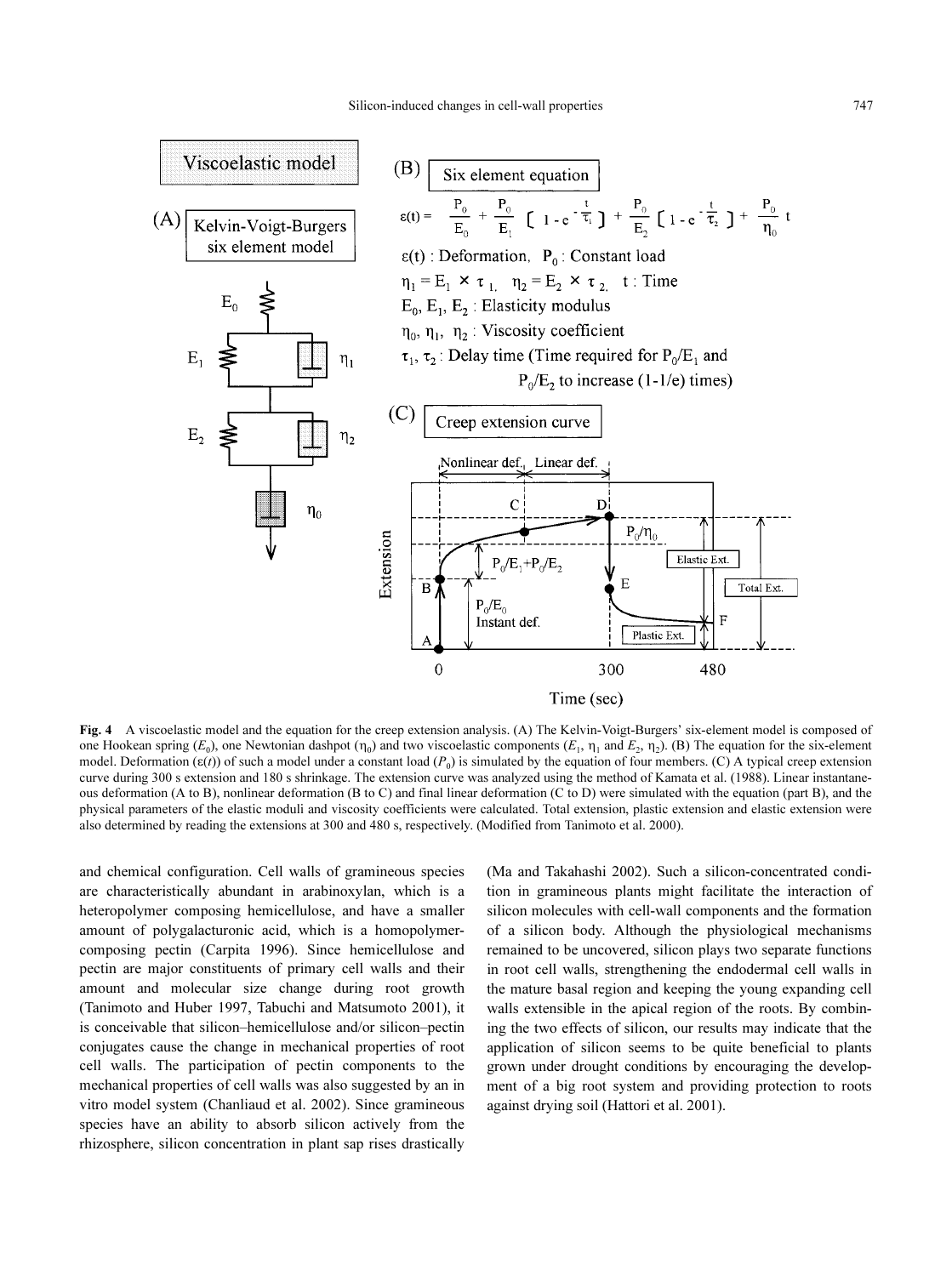

Fig. 4 A viscoelastic model and the equation for the creep extension analysis. (A) The Kelvin-Voigt-Burgers' six-element model is composed of one Hookean spring  $(E_0)$ , one Newtonian dashpot  $(\eta_0)$  and two viscoelastic components  $(E_1, \eta_1)$  and  $E_2, \eta_2$ . (B) The equation for the six-element model. Deformation ( $\varepsilon(t)$ ) of such a model under a constant load ( $P_0$ ) is simulated by the equation of four members. (C) A typical creep extension curve during 300 s extension and 180 s shrinkage. The extension curve was analyzed using the method of [Kamata et al. \(1988\).](#page-6-23) Linear instantaneous deformation (A to B), nonlinear deformation (B to C) and final linear deformation (C to D) were simulated with the equation (part B), and the physical parameters of the elastic moduli and viscosity coefficients were calculated. Total extension, plastic extension and elastic extension were also determined by reading the extensions at 300 and 480 s, respectively. (Modified from [Tanimoto et al. 2000\)](#page-6-12).

and chemical configuration. Cell walls of gramineous species are characteristically abundant in arabinoxylan, which is a heteropolymer composing hemicellulose, and have a smaller amount of polygalacturonic acid, which is a homopolymercomposing pectin [\(Carpita 1996\)](#page-5-2). Since hemicellulose and pectin are major constituents of primary cell walls and their amount and molecular size change during root growth [\(Tanimoto and Huber 1997,](#page-6-20) [Tabuchi and Matsumoto 2001\)](#page-6-21), it is conceivable that silicon–hemicellulose and/or silicon–pectin conjugates cause the change in mechanical properties of root cell walls. The participation of pectin components to the mechanical properties of cell walls was also suggested by an in vitro model system ([Chanliaud et al. 2002\)](#page-5-3). Since gramineous species have an ability to absorb silicon actively from the rhizosphere, silicon concentration in plant sap rises drastically

[\(Ma and Takahashi 2002\)](#page-6-22). Such a silicon-concentrated condition in gramineous plants might facilitate the interaction of silicon molecules with cell-wall components and the formation of a silicon body. Although the physiological mechanisms remained to be uncovered, silicon plays two separate functions in root cell walls, strengthening the endodermal cell walls in the mature basal region and keeping the young expanding cell walls extensible in the apical region of the roots. By combining the two effects of silicon, our results may indicate that the application of silicon seems to be quite beneficial to plants grown under drought conditions by encouraging the development of a big root system and providing protection to roots against drying soil ([Hattori et al. 2001\)](#page-5-4).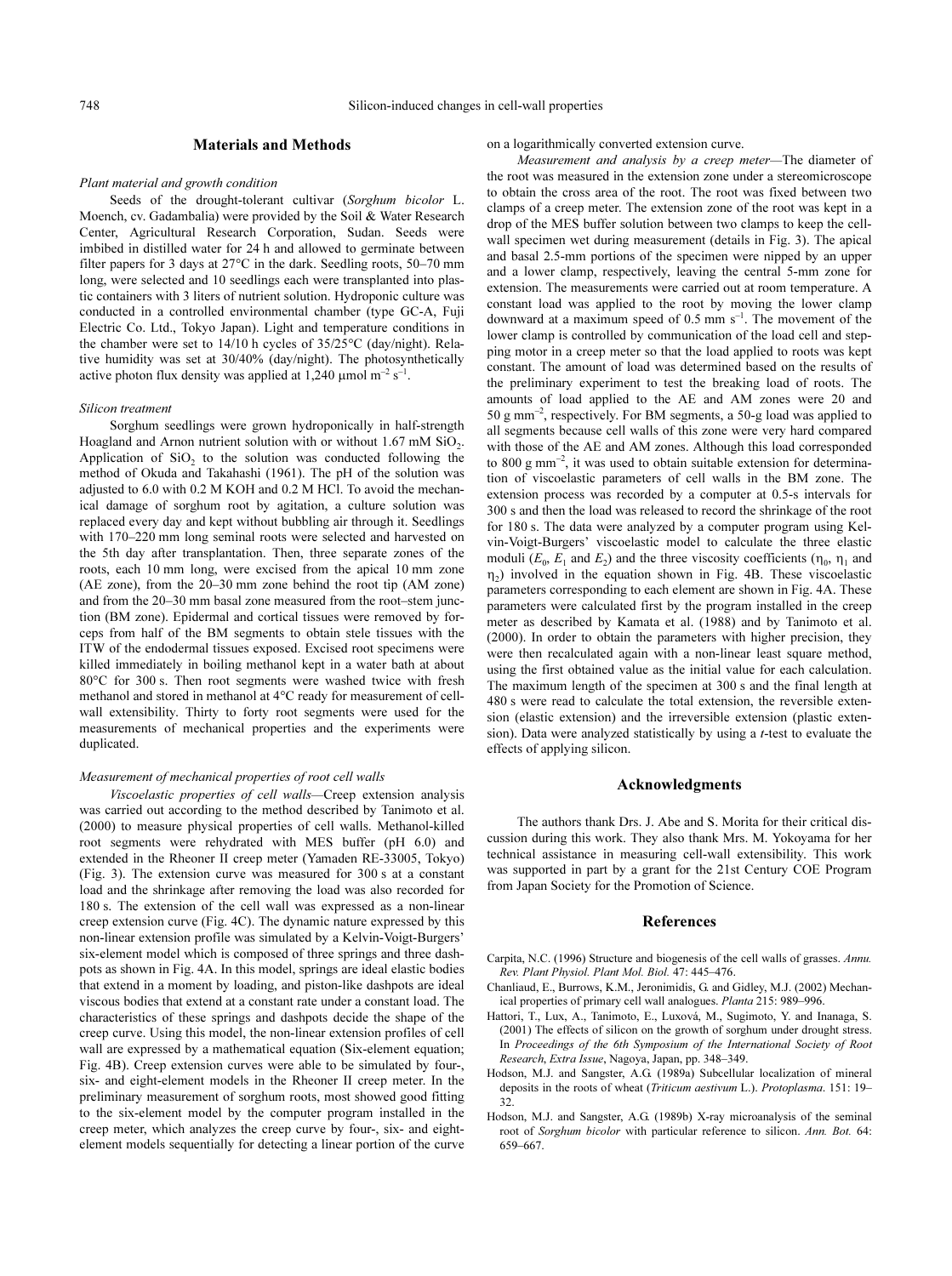#### Materials and Methods

#### Plant material and growth condition

Seeds of the drought-tolerant cultivar (Sorghum bicolor L. Moench, cv. Gadambalia) were provided by the Soil & Water Research Center, Agricultural Research Corporation, Sudan. Seeds were imbibed in distilled water for 24 h and allowed to germinate between filter papers for 3 days at  $27^{\circ}$ C in the dark. Seedling roots, 50–70 mm long, were selected and 10 seedlings each were transplanted into plastic containers with 3 liters of nutrient solution. Hydroponic culture was conducted in a controlled environmental chamber (type GC-A, Fuji Electric Co. Ltd., Tokyo Japan). Light and temperature conditions in the chamber were set to  $14/10$  h cycles of  $35/25^{\circ}$ C (day/night). Relative humidity was set at 30/40% (day/night). The photosynthetically active photon flux density was applied at 1,240  $\mu$ mol m<sup>-2</sup> s<sup>-1</sup>.

#### Silicon treatment

Sorghum seedlings were grown hydroponically in half-strength Hoagland and Arnon nutrient solution with or without  $1.67 \text{ mM SiO}_2$ . Application of  $SiO<sub>2</sub>$  to the solution was conducted following the method of [Okuda and Takahashi \(1961\).](#page-6-24) The pH of the solution was adjusted to 6.0 with 0.2 M KOH and 0.2 M HCl. To avoid the mechanical damage of sorghum root by agitation, a culture solution was replaced every day and kept without bubbling air through it. Seedlings with 170–220 mm long seminal roots were selected and harvested on the 5th day after transplantation. Then, three separate zones of the roots, each 10 mm long, were excised from the apical 10 mm zone (AE zone), from the 20–30 mm zone behind the root tip (AM zone) and from the 20–30 mm basal zone measured from the root–stem junction (BM zone). Epidermal and cortical tissues were removed by forceps from half of the BM segments to obtain stele tissues with the ITW of the endodermal tissues exposed. Excised root specimens were killed immediately in boiling methanol kept in a water bath at about 80°C for 300 s. Then root segments were washed twice with fresh methanol and stored in methanol at 4°C ready for measurement of cellwall extensibility. Thirty to forty root segments were used for the measurements of mechanical properties and the experiments were duplicated.

#### Measurement of mechanical properties of root cell walls

Viscoelastic properties of cell walls—Creep extension analysis was carried out according to the method described by [Tanimoto et al.](#page-6-12) [\(2000\)](#page-6-12) to measure physical properties of cell walls. Methanol-killed root segments were rehydrated with MES buffer (pH 6.0) and extended in the Rheoner II creep meter (Yamaden RE-33005, Tokyo) (Fig. [3](#page-6-13)). The extension curve was measured for 300 s at a constant load and the shrinkage after removing the load was also recorded for 180 s. The extension of the cell wall was expressed as a non-linear creep extension curve (Fig. [4C](#page-6-13)). The dynamic nature expressed by this non-linear extension profile was simulated by a Kelvin-Voigt-Burgers' six-element model which is composed of three springs and three dashpots as shown in Fig. [4A](#page-6-13). In this model, springs are ideal elastic bodies that extend in a moment by loading, and piston-like dashpots are ideal viscous bodies that extend at a constant rate under a constant load. The characteristics of these springs and dashpots decide the shape of the creep curve. Using this model, the non-linear extension profiles of cell wall are expressed by a mathematical equation (Six-element equation; Fig. [4B](#page-6-13)). Creep extension curves were able to be simulated by four-, six- and eight-element models in the Rheoner II creep meter. In the preliminary measurement of sorghum roots, most showed good fitting to the six-element model by the computer program installed in the creep meter, which analyzes the creep curve by four-, six- and eightelement models sequentially for detecting a linear portion of the curve on a logarithmically converted extension curve.

Measurement and analysis by a creep meter—The diameter of the root was measured in the extension zone under a stereomicroscope to obtain the cross area of the root. The root was fixed between two clamps of a creep meter. The extension zone of the root was kept in a drop of the MES buffer solution between two clamps to keep the cellwall specimen wet during measurement (details in Fig. [3\)](#page-6-13). The apical and basal 2.5-mm portions of the specimen were nipped by an upper and a lower clamp, respectively, leaving the central 5-mm zone for extension. The measurements were carried out at room temperature. A constant load was applied to the root by moving the lower clamp downward at a maximum speed of  $0.5$  mm  $s^{-1}$ . The movement of the lower clamp is controlled by communication of the load cell and stepping motor in a creep meter so that the load applied to roots was kept constant. The amount of load was determined based on the results of the preliminary experiment to test the breaking load of roots. The amounts of load applied to the AE and AM zones were 20 and 50 g mm–2, respectively. For BM segments, a 50-g load was applied to all segments because cell walls of this zone were very hard compared with those of the AE and AM zones. Although this load corresponded to 800 g mm<sup>-2</sup>, it was used to obtain suitable extension for determination of viscoelastic parameters of cell walls in the BM zone. The extension process was recorded by a computer at 0.5-s intervals for 300 s and then the load was released to record the shrinkage of the root for 180 s. The data were analyzed by a computer program using Kelvin-Voigt-Burgers' viscoelastic model to calculate the three elastic moduli ( $E_0$ ,  $E_1$  and  $E_2$ ) and the three viscosity coefficients ( $\eta_0$ ,  $\eta_1$  and  $\eta_2$ ) involved in the equation shown in Fig. [4](#page-6-13)B. These viscoelastic parameters corresponding to each element are shown in Fig. [4](#page-6-13)A. These parameters were calculated first by the program installed in the creep meter as described by [Kamata et al. \(1988\)](#page-6-23) and by [Tanimoto et al.](#page-6-12) [\(2000\).](#page-6-12) In order to obtain the parameters with higher precision, they were then recalculated again with a non-linear least square method, using the first obtained value as the initial value for each calculation. The maximum length of the specimen at 300 s and the final length at 480 s were read to calculate the total extension, the reversible extension (elastic extension) and the irreversible extension (plastic extension). Data were analyzed statistically by using a t-test to evaluate the effects of applying silicon.

#### Acknowledgments

The authors thank Drs. J. Abe and S. Morita for their critical discussion during this work. They also thank Mrs. M. Yokoyama for her technical assistance in measuring cell-wall extensibility. This work was supported in part by a grant for the 21st Century COE Program from Japan Society for the Promotion of Science.

#### References

- <span id="page-5-2"></span>Carpita, N.C. (1996) Structure and biogenesis of the cell walls of grasses. Annu. Rev. Plant Physiol. Plant Mol. Biol. 47: 445–476.
- <span id="page-5-3"></span>Chanliaud, E., Burrows, K.M., Jeronimidis, G. and Gidley, M.J. (2002) Mechanical properties of primary cell wall analogues. Planta 215: 989–996.
- <span id="page-5-4"></span>Hattori, T., Lux, A., Tanimoto, E., Luxová, M., Sugimoto, Y. and Inanaga, S. (2001) The effects of silicon on the growth of sorghum under drought stress. In Proceedings of the 6th Symposium of the International Society of Root Research, Extra Issue, Nagoya, Japan, pp. 348–349.
- <span id="page-5-0"></span>Hodson, M.J. and Sangster, A.G. (1989a) Subcellular localization of mineral deposits in the roots of wheat (Triticum aestivum L.). Protoplasma. 151: 19– 32.
- <span id="page-5-1"></span>Hodson, M.J. and Sangster, A.G. (1989b) X-ray microanalysis of the seminal root of Sorghum bicolor with particular reference to silicon. Ann. Bot. 64: 659–667.